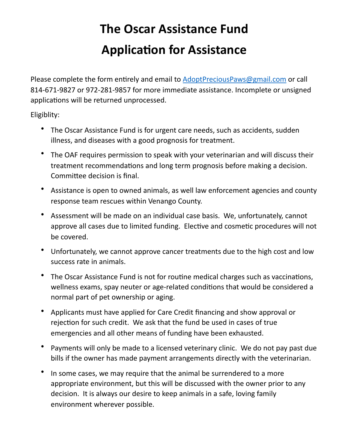## **The Oscar Assistance Fund Application for Assistance**

Please complete the form entirely and email to AdoptPreciousPaws@gmail.com or call 814-671-9827 or 972-281-9857 for more immediate assistance. Incomplete or unsigned applications will be returned unprocessed.

Eligiblity: 

- The Oscar Assistance Fund is for urgent care needs, such as accidents, sudden illness, and diseases with a good prognosis for treatment.
- The OAF requires permission to speak with your veterinarian and will discuss their treatment recommendations and long term prognosis before making a decision. Committee decision is final.
- Assistance is open to owned animals, as well law enforcement agencies and county response team rescues within Venango County.
- Assessment will be made on an individual case basis. We, unfortunately, cannot approve all cases due to limited funding. Elective and cosmetic procedures will not be covered.
- Unfortunately, we cannot approve cancer treatments due to the high cost and low success rate in animals.
- The Oscar Assistance Fund is not for routine medical charges such as vaccinations, wellness exams, spay neuter or age-related conditions that would be considered a normal part of pet ownership or aging.
- Applicants must have applied for Care Credit financing and show approval or rejection for such credit. We ask that the fund be used in cases of true emergencies and all other means of funding have been exhausted.
- Payments will only be made to a licensed veterinary clinic. We do not pay past due bills if the owner has made payment arrangements directly with the veterinarian.
- In some cases, we may require that the animal be surrendered to a more appropriate environment, but this will be discussed with the owner prior to any decision. It is always our desire to keep animals in a safe, loving family environment wherever possible.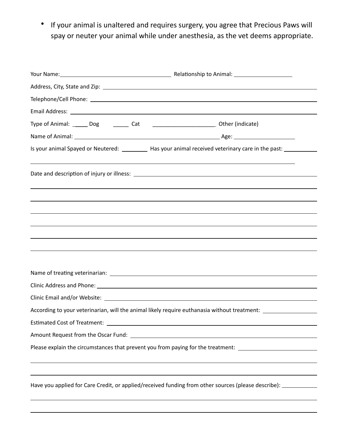• If your animal is unaltered and requires surgery, you agree that Precious Paws will spay or neuter your animal while under anesthesia, as the vet deems appropriate.

| Is your animal Spayed or Neutered: __________ Has your animal received veterinary care in the past: _________ |  |
|---------------------------------------------------------------------------------------------------------------|--|
|                                                                                                               |  |
|                                                                                                               |  |
|                                                                                                               |  |
|                                                                                                               |  |
|                                                                                                               |  |
|                                                                                                               |  |
|                                                                                                               |  |
|                                                                                                               |  |
|                                                                                                               |  |
| According to your veterinarian, will the animal likely require euthanasia without treatment: ________________ |  |
| <b>Estimated Cost of Treatment:</b><br><u> 1989 - Johann Stein, mars an de Brasilia (b. 1989)</u>             |  |
|                                                                                                               |  |
| Please explain the circumstances that prevent you from paying for the treatment: ____________________________ |  |
|                                                                                                               |  |
| Have you applied for Care Credit, or applied/received funding from other sources (please describe): _________ |  |